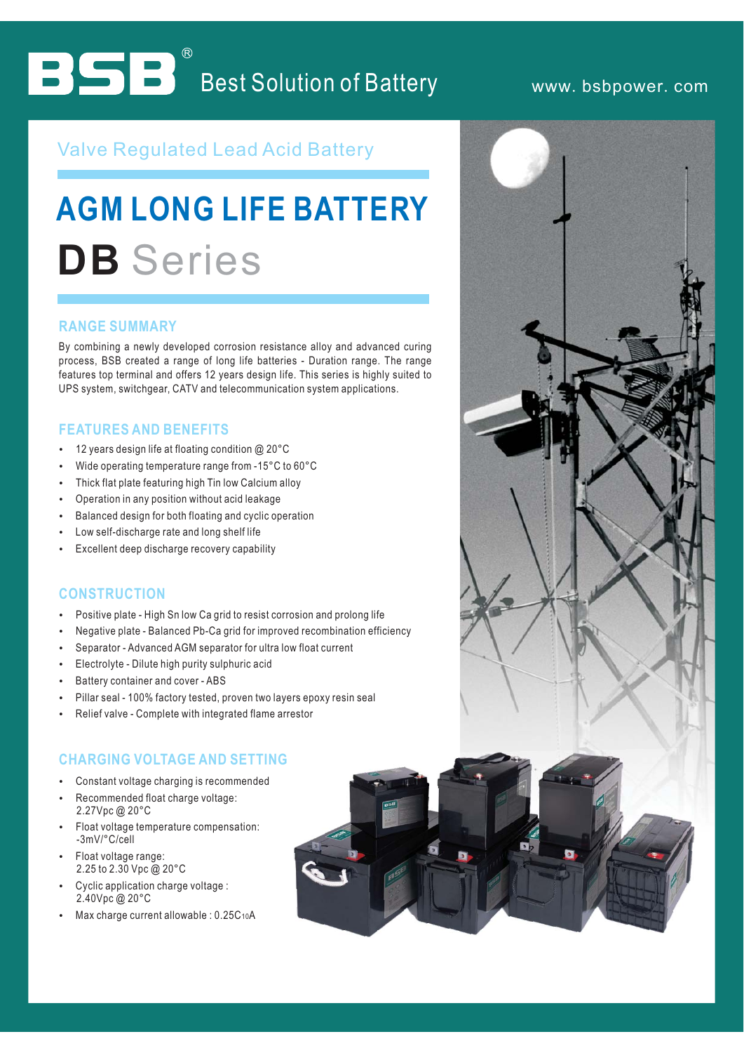# **BEB**<sup>®</sup> Best Solution of Battery www.bsbpower.com

### Valve Regulated Lead Acid Battery

## **DB** Series **AGM LONG LIFE BATTERY**

#### **RANGE SUMMARY**

By combining a newly developed corrosion resistance alloy and advanced curing process, BSB created a range of long life batteries - Duration range. The range features top terminal and offers 12 years design life. This series is highly suited to UPS system, switchgear, CATV and telecommunication system applications.

### **FEATURES AND BENEFITS**

- 12 years design life at floating condition @ 20°C
- Wide operating temperature range from -15°C to 60°C
- Thick flat plate featuring high Tin low Calcium alloy
- Operation in any position without acid leakage
- Balanced design for both floating and cyclic operation
- Low self-discharge rate and long shelf life
- Excellent deep discharge recovery capability

### **CONSTRUCTION**

- Positive plate High Sn low Ca grid to resist corrosion and prolong life
- Negative plate Balanced Pb-Ca grid for improved recombination efficiency
- Separator Advanced AGM separator for ultra low float current
- Electrolyte Dilute high purity sulphuric acid
- Battery container and cover ABS
- Pillar seal 100% factory tested, proven two layers epoxy resin seal
- Relief valve Complete with integrated flame arrestor

### **CHARGING VOLTAGE AND SETTING**

- Constant voltage charging is recommended
- Recommended float charge voltage: 2.27Vpc @ 20°C
- Float voltage temperature compensation: -3mV/°C/cell
- Float voltage range: 2.25 to 2.30 Vpc @ 20°C
- Cyclic application charge voltage : 2.40Vpc @ 20°C
- Max charge current allowable : 0.25C10A